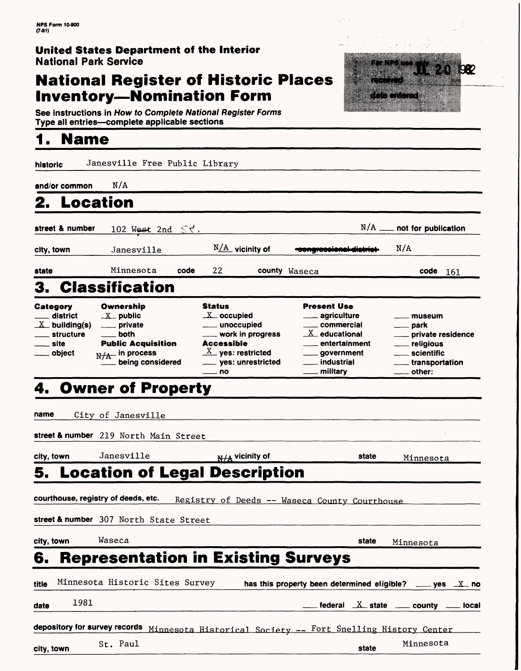### **United States Department of the Interior** National Park Service

### **National Register of Historic Places Inventory—Nomination Form**

**See instructions in How to Complete National Register Forms Type all entries—complete applicable sections\_\_\_\_\_\_\_\_\_\_\_\_\_\_\_**

# **1. Name\_\_\_\_\_\_\_\_\_\_\_\_\_\_\_\_\_**

**historic** Janesville Free Public Library and/or common  $N/A$ **2. Location\_\_\_\_\_\_\_\_\_\_\_\_\_\_\_\_ street & number**  $102$  West  $2nd \leq \forall$ ,  $\blacksquare$  not for publication **city, town** Janesville  $N/A$  vicinity of **congressional district**  $N/A$ **state** Minnesota **code 22 county** Waseca **code 161** 3. Classification Category Ownership \_district \_\_\_ \_\_ public  $X$  building(s)  $\frac{X}{Y}$  private structure both Site Public Acquisition  $\overline{\phantom{a}}$  object  $\overline{\phantom{aa}_{N/A}}$  in process being considered Status  $X$  occupied unoccupied work in progress Accessible  $\underline{X}$  yes: restricted yes: unrestricted no Present Use agriculture commercial  $X$  educational entertainment government industrial military museum park private residence religious scientific transportation other: **4. Owner of Property name** City of Janesville **street & number** 219 North Main Street **city, town** Janesville **vicinity of state** Minnesota **5. Location of Legal Description** courthouse, registry of deeds, etc. Registry of Deeds -- Waseca County Courthouse **street & number** 307 North State Street **city, town** Waseca **state** Minnesota **6. Representation in Existing Surveys** title Minnesota Historic Sites Survey **has this property been determined eligible? yes no** date  $1981$  **federal X** state county local depository for survey records Minnesota Historical Society -- Fort Snelling History Center

**And Auditional And** 

**city, town** St. Paul **St. Paul city, town** St. Paul **state city**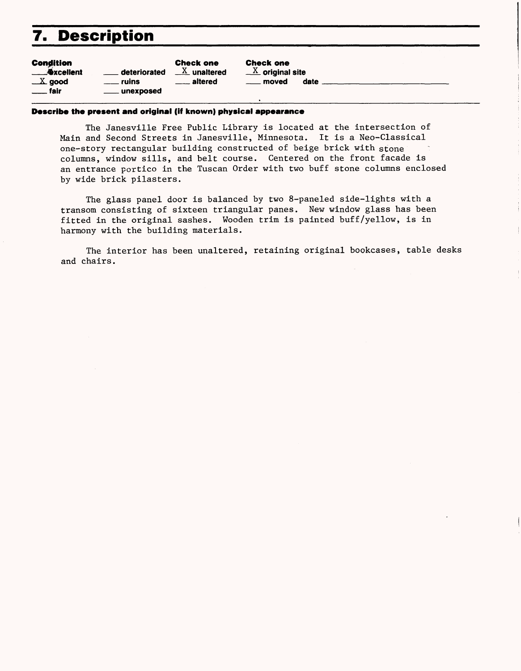### **7. Description**

| <b>Condition</b>                     |                 | <b>Check one</b>          |
|--------------------------------------|-----------------|---------------------------|
| - Contract Accellent                 | deteriorated    | $\underline{X}$ unaltered |
| $\mathbf{X}$ good                    | ruins           | <u>__</u> __ altered      |
| fair :<br>$\mathcal{L}^{\text{max}}$ | _____ unexposed |                           |

Check one  $\underline{X}$  original site \_\_ moved date \_

#### **Describe the present and original (iff known) physical appearance**

The Janesville Free Public Library is located at the intersection of Main and Second Streets in Janesville, Minnesota. It is a Neo-Classical one-story rectangular building constructed of beige brick with stone columns, window sills, and belt course. Centered on the front facade is an entrance portico in the Tuscan Order with two buff stone columns enclosed by wide brick pilasters.

The glass panel door is balanced by two 8-paneled side-lights with a transom consisting of sixteen triangular panes. New window glass has been fitted in the original sashes. Wooden trim is painted buff/yellow, is in harmony with the building materials.

The interior has been unaltered, retaining original bookcases, table desks and chairs.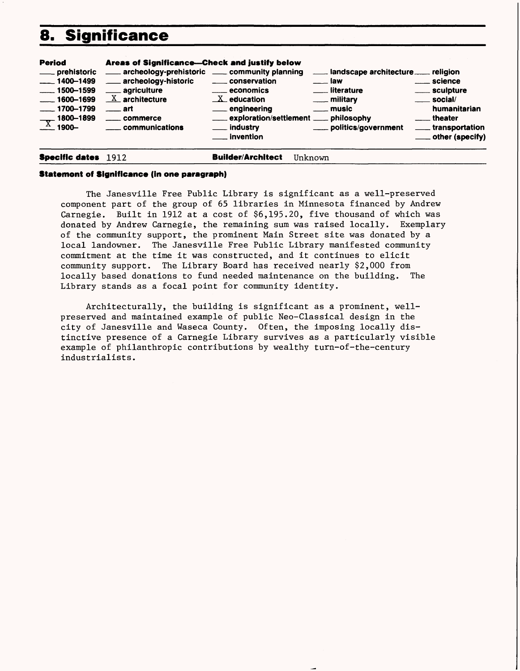### **8. Significance**



#### **Statement of Significance (in one paragraph)**

The Janesville Free Public Library is significant as a well-preserved component part of the group of 65 libraries in Minnesota financed by Andrew Carnegie. Built in 1912 at a cost of \$6,195.20, five thousand of which was donated by Andrew Carnegie, the remaining sum was raised locally. Exemplary of the community support, the prominent Main Street site was donated by a local landowner. The Janesville Free Public Library manifested community commitment at the time it was constructed, and it continues to elicit community support. The Library Board has received nearly \$2,000 from locally based donations to fund needed maintenance on the building. The Library stands as a focal point for community identity.

Architecturally, the building is significant as a prominent, wellpreserved and maintained example of public Neo-Classical design in the city of Janesville and Waseca County. Often, the imposing locally distinctive presence of a Carnegie Library survives as a particularly visible example of philanthropic contributions by wealthy turn-of-the-century industrialists.